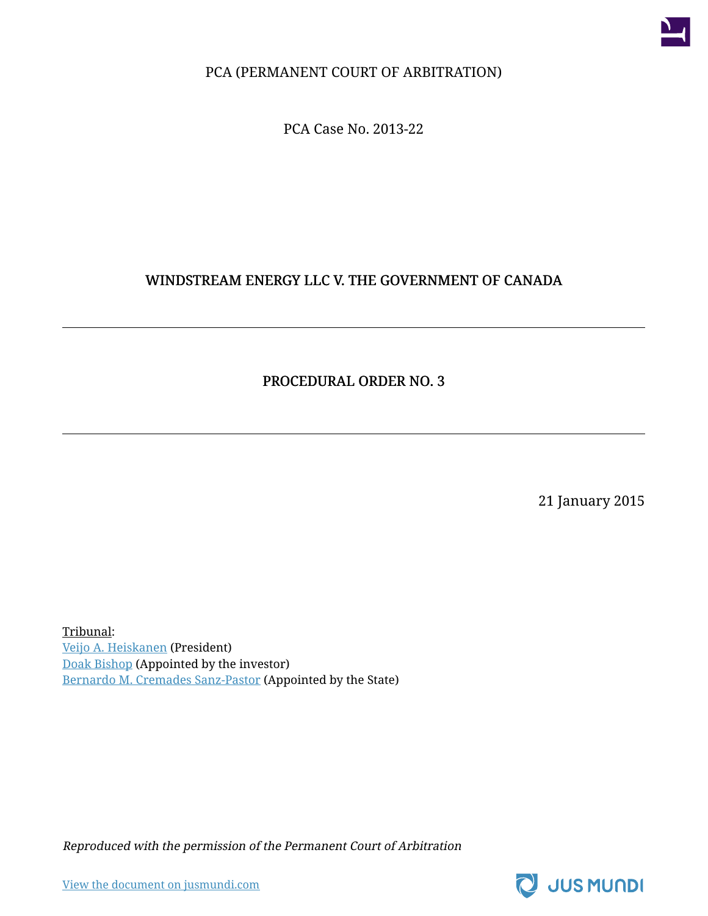

PCA (PERMANENT COURT OF ARBITRATION)

PCA Case No. 2013-22

#### WINDSTREAM ENERGY LLC V. THE GOVERNMENT OF CANADA

#### PROCEDURAL ORDER NO. 3

21 January 2015

Tribunal: [Veijo A. Heiskanen](https://jusmundi.com/p/veijo-a-heiskanen) (President) [Doak Bishop](https://jusmundi.com/p/doak-bishop) (Appointed by the investor) [Bernardo M. Cremades Sanz-Pastor](https://jusmundi.com/p/bernardo-m-cremades-sanz-pastor) (Appointed by the State)

Reproduced with the permission of the Permanent Court of Arbitration

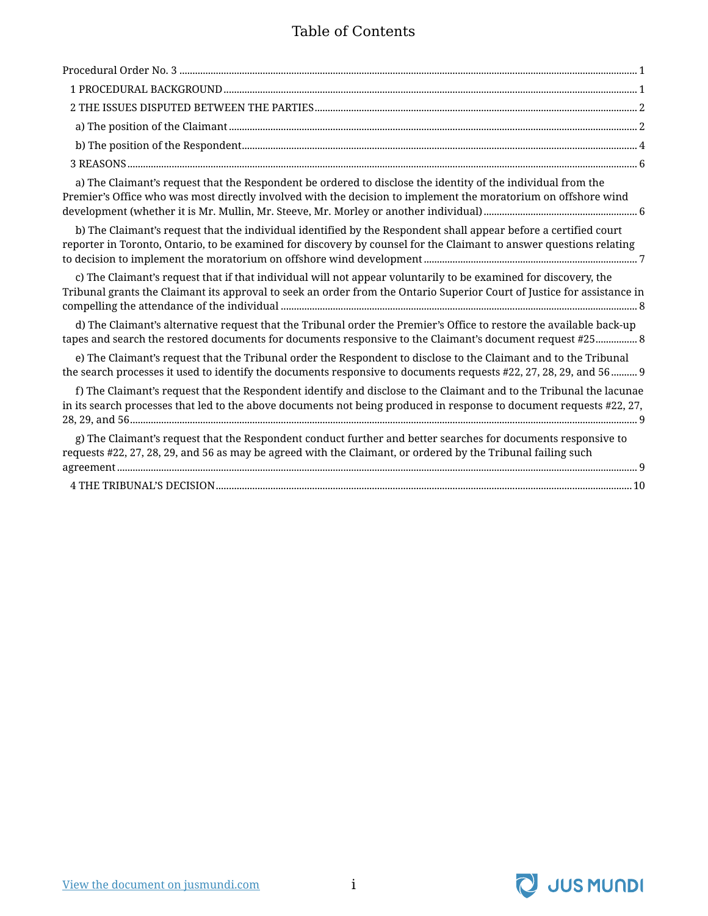#### Table of Contents

| a) The Claimant's request that the Respondent be ordered to disclose the identity of the individual from the<br>Premier's Office who was most directly involved with the decision to implement the moratorium on offshore wind          |  |
|-----------------------------------------------------------------------------------------------------------------------------------------------------------------------------------------------------------------------------------------|--|
| b) The Claimant's request that the individual identified by the Respondent shall appear before a certified court<br>reporter in Toronto, Ontario, to be examined for discovery by counsel for the Claimant to answer questions relating |  |

[to decision to implement the moratorium on offshore wind development..................................................................................](#page-8-0) 7 [c\) The Claimant's request that if that individual will not appear voluntarily to be examined for discovery, the](#page-9-0) [Tribunal grants the Claimant its approval to seek an order from the Ontario Superior Court of Justice for assistance in](#page-9-0) compelling the attendance of the individual [.........................................................................................................................................](#page-9-0) 8

[d\) The Claimant's alternative request that the Tribunal order the Premier's Office to restore the available back-up](#page-9-1) [tapes and search the restored documents for documents responsive to the Claimant's document request #25................](#page-9-1) 8

[e\) The Claimant's request that the Tribunal order the Respondent to disclose to the Claimant and to the Tribunal](#page-10-0) [the search processes it used to identify the documents responsive to documents requests #22, 27, 28, 29, and 56..........](#page-10-0) 9

| f) The Claimant's request that the Respondent identify and disclose to the Claimant and to the Tribunal the lacunae  |
|----------------------------------------------------------------------------------------------------------------------|
| in its search processes that led to the above documents not being produced in response to document requests #22, 27, |
|                                                                                                                      |
| g) The Claimant's request that the Respondent conduct further and better searches for documents responsive to        |
| requests #22, 27, 28, 29, and 56 as may be agreed with the Claimant, or ordered by the Tribunal failing such         |
|                                                                                                                      |

[4 THE TRIBUNAL'S DECISION................................................................................................................................................................10](#page-11-0)

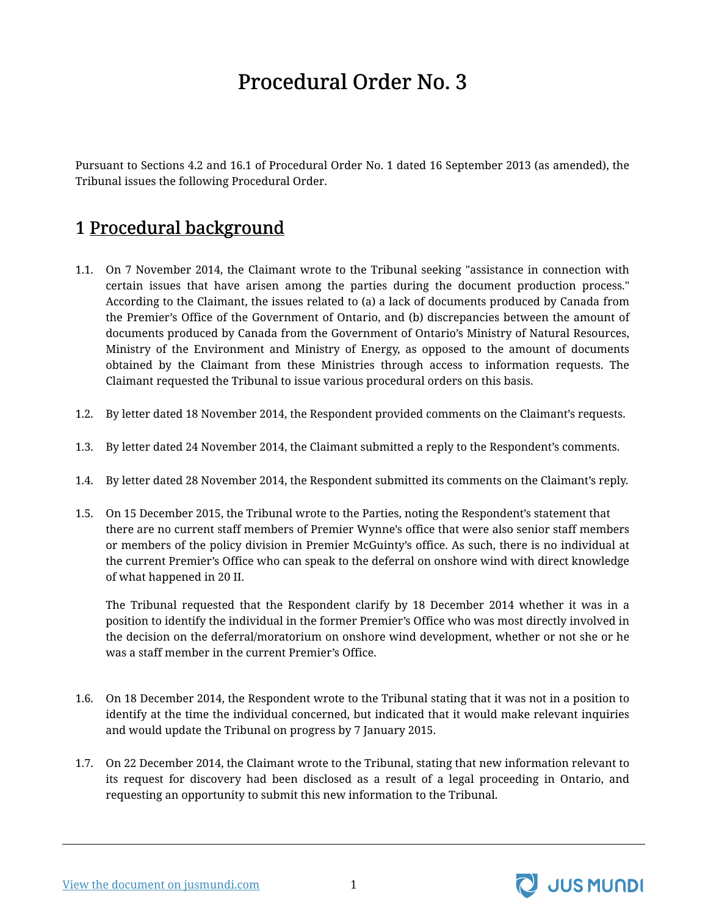# Procedural Order No. 3

<span id="page-2-0"></span>Pursuant to Sections 4.2 and 16.1 of Procedural Order No. 1 dated 16 September 2013 (as amended), the Tribunal issues the following Procedural Order.

### <span id="page-2-1"></span>1 Procedural background

- 1.1. On 7 November 2014, the Claimant wrote to the Tribunal seeking "assistance in connection with certain issues that have arisen among the parties during the document production process." According to the Claimant, the issues related to (a) a lack of documents produced by Canada from the Premier's Office of the Government of Ontario, and (b) discrepancies between the amount of documents produced by Canada from the Government of Ontario's Ministry of Natural Resources, Ministry of the Environment and Ministry of Energy, as opposed to the amount of documents obtained by the Claimant from these Ministries through access to information requests. The Claimant requested the Tribunal to issue various procedural orders on this basis.
- 1.2. By letter dated 18 November 2014, the Respondent provided comments on the Claimant's requests.
- 1.3. By letter dated 24 November 2014, the Claimant submitted a reply to the Respondent's comments.
- 1.4. By letter dated 28 November 2014, the Respondent submitted its comments on the Claimant's reply.
- 1.5. On 15 December 2015, the Tribunal wrote to the Parties, noting the Respondent's statement that there are no current staff members of Premier Wynne's office that were also senior staff members or members of the policy division in Premier McGuinty's office. As such, there is no individual at the current Premier's Office who can speak to the deferral on onshore wind with direct knowledge of what happened in 20 II.

The Tribunal requested that the Respondent clarify by 18 December 2014 whether it was in a position to identify the individual in the former Premier's Office who was most directly involved in the decision on the deferral/moratorium on onshore wind development, whether or not she or he was a staff member in the current Premier's Office.

- 1.6. On 18 December 2014, the Respondent wrote to the Tribunal stating that it was not in a position to identify at the time the individual concerned, but indicated that it would make relevant inquiries and would update the Tribunal on progress by 7 January 2015.
- 1.7. On 22 December 2014, the Claimant wrote to the Tribunal, stating that new information relevant to its request for discovery had been disclosed as a result of a legal proceeding in Ontario, and requesting an opportunity to submit this new information to the Tribunal.



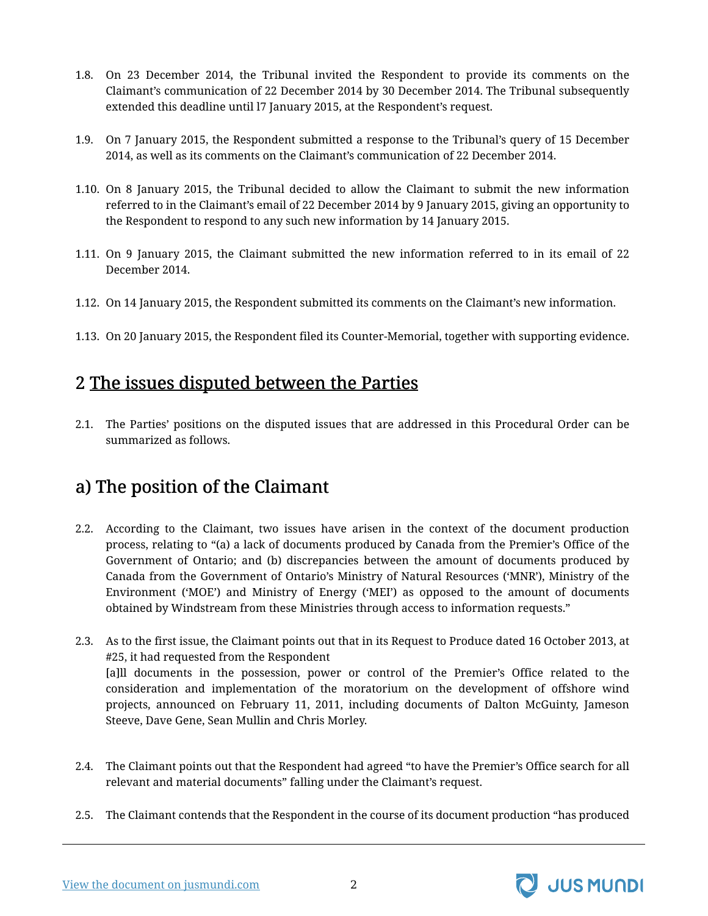- 1.8. On 23 December 2014, the Tribunal invited the Respondent to provide its comments on the Claimant's communication of 22 December 2014 by 30 December 2014. The Tribunal subsequently extended this deadline until l7 January 2015, at the Respondent's request.
- 1.9. On 7 January 2015, the Respondent submitted a response to the Tribunal's query of 15 December 2014, as well as its comments on the Claimant's communication of 22 December 2014.
- 1.10. On 8 January 2015, the Tribunal decided to allow the Claimant to submit the new information referred to in the Claimant's email of 22 December 2014 by 9 January 2015, giving an opportunity to the Respondent to respond to any such new information by 14 January 2015.
- 1.11. On 9 January 2015, the Claimant submitted the new information referred to in its email of 22 December 2014.
- 1.12. On 14 January 2015, the Respondent submitted its comments on the Claimant's new information.
- 1.13. On 20 January 2015, the Respondent filed its Counter-Memorial, together with supporting evidence.

#### <span id="page-3-0"></span>2 The issues disputed between the Parties

2.1. The Parties' positions on the disputed issues that are addressed in this Procedural Order can be summarized as follows.

### <span id="page-3-1"></span>a) The position of the Claimant

- 2.2. According to the Claimant, two issues have arisen in the context of the document production process, relating to "(a) a lack of documents produced by Canada from the Premier's Office of the Government of Ontario; and (b) discrepancies between the amount of documents produced by Canada from the Government of Ontario's Ministry of Natural Resources ('MNR'), Ministry of the Environment ('MOE') and Ministry of Energy ('MEI') as opposed to the amount of documents obtained by Windstream from these Ministries through access to information requests."
- 2.3. As to the first issue, the Claimant points out that in its Request to Produce dated 16 October 2013, at #25, it had requested from the Respondent [a]ll documents in the possession, power or control of the Premier's Office related to the consideration and implementation of the moratorium on the development of offshore wind projects, announced on February 11, 2011, including documents of Dalton McGuinty, Jameson Steeve, Dave Gene, Sean Mullin and Chris Morley.
- 2.4. The Claimant points out that the Respondent had agreed "to have the Premier's Office search for all relevant and material documents" falling under the Claimant's request.
- 2.5. The Claimant contends that the Respondent in the course of its document production "has produced

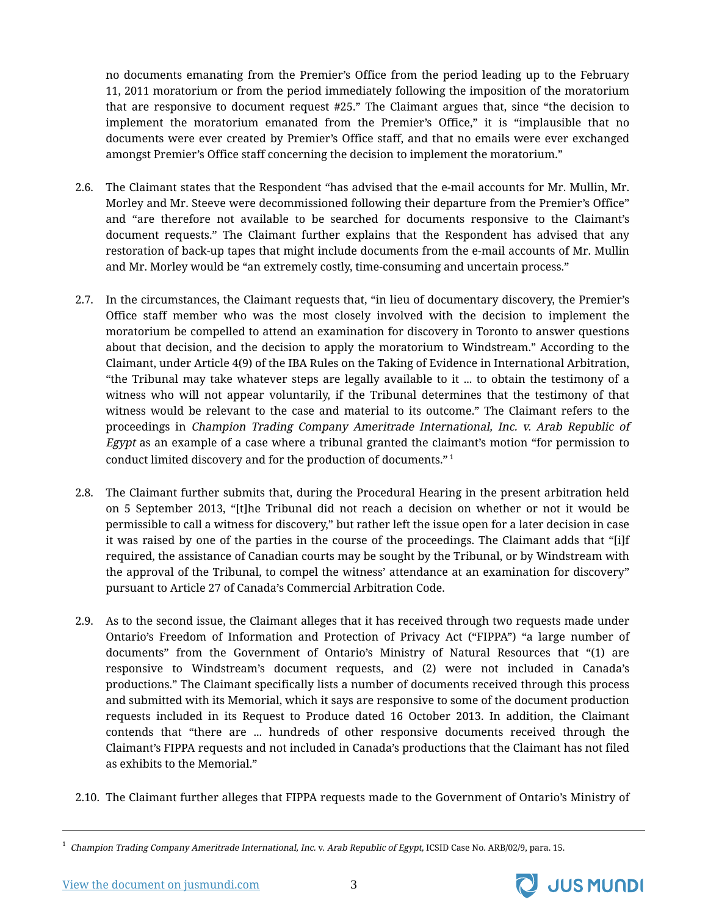no documents emanating from the Premier's Office from the period leading up to the February 11, 2011 moratorium or from the period immediately following the imposition of the moratorium that are responsive to document request #25." The Claimant argues that, since "the decision to implement the moratorium emanated from the Premier's Office," it is "implausible that no documents were ever created by Premier's Office staff, and that no emails were ever exchanged amongst Premier's Office staff concerning the decision to implement the moratorium."

- 2.6. The Claimant states that the Respondent "has advised that the e-mail accounts for Mr. Mullin, Mr. Morley and Mr. Steeve were decommissioned following their departure from the Premier's Office" and "are therefore not available to be searched for documents responsive to the Claimant's document requests." The Claimant further explains that the Respondent has advised that any restoration of back-up tapes that might include documents from the e-mail accounts of Mr. Mullin and Mr. Morley would be "an extremely costly, time-consuming and uncertain process."
- 2.7. In the circumstances, the Claimant requests that, "in lieu of documentary discovery, the Premier's Office staff member who was the most closely involved with the decision to implement the moratorium be compelled to attend an examination for discovery in Toronto to answer questions about that decision, and the decision to apply the moratorium to Windstream." According to the Claimant, under Article 4(9) of the IBA Rules on the Taking of Evidence in International Arbitration, "the Tribunal may take whatever steps are legally available to it ... to obtain the testimony of a witness who will not appear voluntarily, if the Tribunal determines that the testimony of that witness would be relevant to the case and material to its outcome." The Claimant refers to the proceedings in Champion Trading Company Ameritrade International, Inc. v. Arab Republic of Egypt as an example of a case where a tribunal granted the claimant's motion "for permission to conduct limited discovery and for the production of documents." <sup>1</sup>
- 2.8. The Claimant further submits that, during the Procedural Hearing in the present arbitration held on 5 September 2013, "[t]he Tribunal did not reach a decision on whether or not it would be permissible to call a witness for discovery," but rather left the issue open for a later decision in case it was raised by one of the parties in the course of the proceedings. The Claimant adds that "[i]f required, the assistance of Canadian courts may be sought by the Tribunal, or by Windstream with the approval of the Tribunal, to compel the witness' attendance at an examination for discovery" pursuant to Article 27 of Canada's Commercial Arbitration Code.
- 2.9. As to the second issue, the Claimant alleges that it has received through two requests made under Ontario's Freedom of Information and Protection of Privacy Act ("FIPPA") "a large number of documents" from the Government of Ontario's Ministry of Natural Resources that "(1) are responsive to Windstream's document requests, and (2) were not included in Canada's productions." The Claimant specifically lists a number of documents received through this process and submitted with its Memorial, which it says are responsive to some of the document production requests included in its Request to Produce dated 16 October 2013. In addition, the Claimant contends that "there are ... hundreds of other responsive documents received through the Claimant's FIPPA requests and not included in Canada's productions that the Claimant has not filed as exhibits to the Memorial."
- 2.10. The Claimant further alleges that FIPPA requests made to the Government of Ontario's Ministry of

<sup>1</sup> Champion Trading Company Ameritrade International, Inc. v. Arab Republic of Egypt, ICSID Case No. ARB/02/9, para. 15.

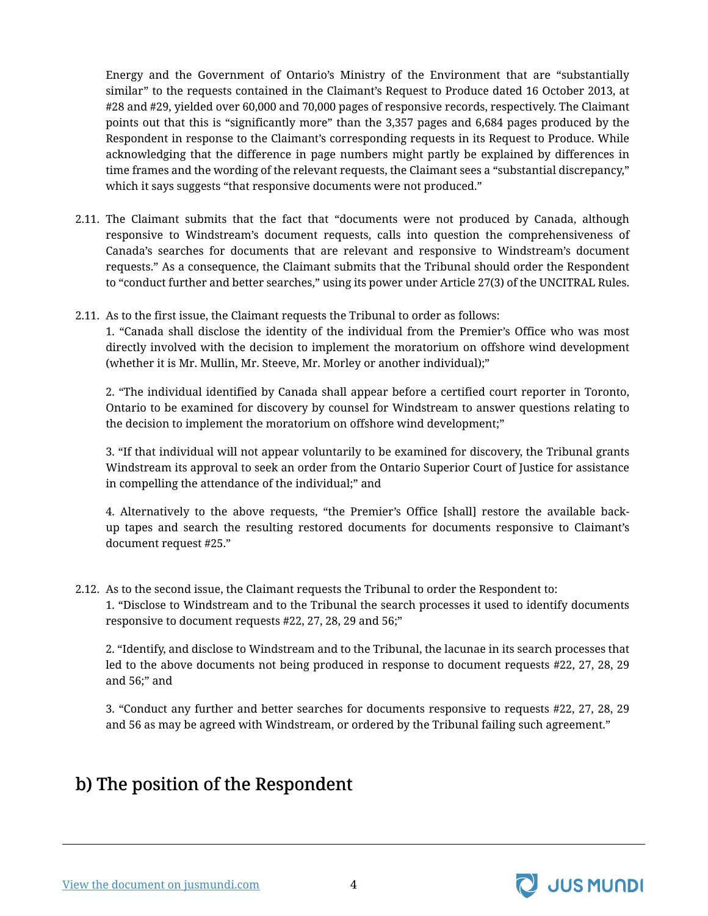Energy and the Government of Ontario's Ministry of the Environment that are "substantially similar" to the requests contained in the Claimant's Request to Produce dated 16 October 2013, at #28 and #29, yielded over 60,000 and 70,000 pages of responsive records, respectively. The Claimant points out that this is "significantly more" than the 3,357 pages and 6,684 pages produced by the Respondent in response to the Claimant's corresponding requests in its Request to Produce. While acknowledging that the difference in page numbers might partly be explained by differences in time frames and the wording of the relevant requests, the Claimant sees a "substantial discrepancy," which it says suggests "that responsive documents were not produced."

- 2.11. The Claimant submits that the fact that "documents were not produced by Canada, although responsive to Windstream's document requests, calls into question the comprehensiveness of Canada's searches for documents that are relevant and responsive to Windstream's document requests." As a consequence, the Claimant submits that the Tribunal should order the Respondent to "conduct further and better searches," using its power under Article 27(3) of the UNCITRAL Rules.
- 2.11. As to the first issue, the Claimant requests the Tribunal to order as follows:

1. "Canada shall disclose the identity of the individual from the Premier's Office who was most directly involved with the decision to implement the moratorium on offshore wind development (whether it is Mr. Mullin, Mr. Steeve, Mr. Morley or another individual);"

2. "The individual identified by Canada shall appear before a certified court reporter in Toronto, Ontario to be examined for discovery by counsel for Windstream to answer questions relating to the decision to implement the moratorium on offshore wind development;"

3. "If that individual will not appear voluntarily to be examined for discovery, the Tribunal grants Windstream its approval to seek an order from the Ontario Superior Court of Justice for assistance in compelling the attendance of the individual;" and

4. Alternatively to the above requests, "the Premier's Office [shall] restore the available backup tapes and search the resulting restored documents for documents responsive to Claimant's document request #25."

2.12. As to the second issue, the Claimant requests the Tribunal to order the Respondent to: 1. "Disclose to Windstream and to the Tribunal the search processes it used to identify documents responsive to document requests #22, 27, 28, 29 and 56;"

2. "Identify, and disclose to Windstream and to the Tribunal, the lacunae in its search processes that led to the above documents not being produced in response to document requests #22, 27, 28, 29 and 56;" and

3. "Conduct any further and better searches for documents responsive to requests #22, 27, 28, 29 and 56 as may be agreed with Windstream, or ordered by the Tribunal failing such agreement."

#### <span id="page-5-0"></span>b) The position of the Respondent

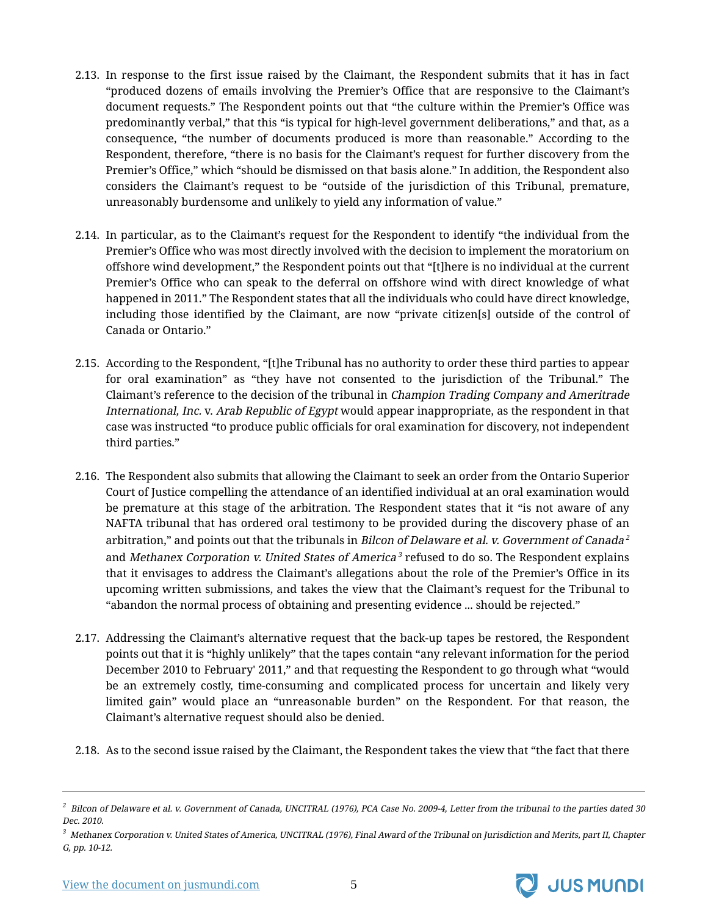- 2.13. In response to the first issue raised by the Claimant, the Respondent submits that it has in fact "produced dozens of emails involving the Premier's Office that are responsive to the Claimant's document requests." The Respondent points out that "the culture within the Premier's Office was predominantly verbal," that this "is typical for high-level government deliberations," and that, as a consequence, "the number of documents produced is more than reasonable." According to the Respondent, therefore, "there is no basis for the Claimant's request for further discovery from the Premier's Office," which "should be dismissed on that basis alone." In addition, the Respondent also considers the Claimant's request to be "outside of the jurisdiction of this Tribunal, premature, unreasonably burdensome and unlikely to yield any information of value."
- 2.14. In particular, as to the Claimant's request for the Respondent to identify "the individual from the Premier's Office who was most directly involved with the decision to implement the moratorium on offshore wind development," the Respondent points out that "[t]here is no individual at the current Premier's Office who can speak to the deferral on offshore wind with direct knowledge of what happened in 2011." The Respondent states that all the individuals who could have direct knowledge, including those identified by the Claimant, are now "private citizen[s] outside of the control of Canada or Ontario."
- 2.15. According to the Respondent, "[t]he Tribunal has no authority to order these third parties to appear for oral examination" as "they have not consented to the jurisdiction of the Tribunal." The Claimant's reference to the decision of the tribunal in Champion Trading Company and Ameritrade International, Inc. v. Arab Republic of Egypt would appear inappropriate, as the respondent in that case was instructed "to produce public officials for oral examination for discovery, not independent third parties."
- 2.16. The Respondent also submits that allowing the Claimant to seek an order from the Ontario Superior Court of Justice compelling the attendance of an identified individual at an oral examination would be premature at this stage of the arbitration. The Respondent states that it "is not aware of any NAFTA tribunal that has ordered oral testimony to be provided during the discovery phase of an arbitration," and points out that the tribunals in *Bilcon of Delaware et al. v. Government of Canada*  $^2$ and *Methanex Corporation v. United States of America* <sup>3</sup> refused to do so. The Respondent explains that it envisages to address the Claimant's allegations about the role of the Premier's Office in its upcoming written submissions, and takes the view that the Claimant's request for the Tribunal to "abandon the normal process of obtaining and presenting evidence ... should be rejected."
- 2.17. Addressing the Claimant's alternative request that the back-up tapes be restored, the Respondent points out that it is "highly unlikely" that the tapes contain "any relevant information for the period December 2010 to February' 2011," and that requesting the Respondent to go through what "would be an extremely costly, time-consuming and complicated process for uncertain and likely very limited gain" would place an "unreasonable burden" on the Respondent. For that reason, the Claimant's alternative request should also be denied.
- 2.18. As to the second issue raised by the Claimant, the Respondent takes the view that "the fact that there



 $^2\,$  Bilcon of Delaware et al. v. Government of Canada, UNCITRAL (1976), PCA Case No. 2009-4, Letter from the tribunal to the parties dated 30 Dec. 2010.

 $^3$  Methanex Corporation v. United States of America, UNCITRAL (1976), Final Award of the Tribunal on Jurisdiction and Merits, part II, Chapter G, pp. 10-12.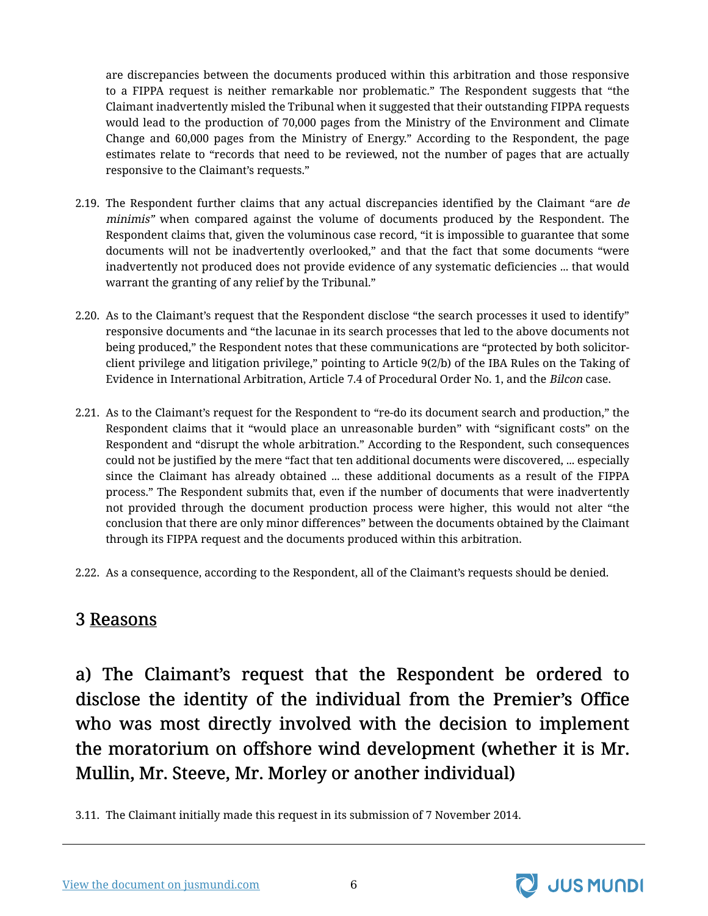are discrepancies between the documents produced within this arbitration and those responsive to a FIPPA request is neither remarkable nor problematic." The Respondent suggests that "the Claimant inadvertently misled the Tribunal when it suggested that their outstanding FIPPA requests would lead to the production of 70,000 pages from the Ministry of the Environment and Climate Change and 60,000 pages from the Ministry of Energy." According to the Respondent, the page estimates relate to "records that need to be reviewed, not the number of pages that are actually responsive to the Claimant's requests."

- 2.19. The Respondent further claims that any actual discrepancies identified by the Claimant "are *de* minimis" when compared against the volume of documents produced by the Respondent. The Respondent claims that, given the voluminous case record, "it is impossible to guarantee that some documents will not be inadvertently overlooked," and that the fact that some documents "were inadvertently not produced does not provide evidence of any systematic deficiencies ... that would warrant the granting of any relief by the Tribunal."
- 2.20. As to the Claimant's request that the Respondent disclose "the search processes it used to identify" responsive documents and "the lacunae in its search processes that led to the above documents not being produced," the Respondent notes that these communications are "protected by both solicitorclient privilege and litigation privilege," pointing to Article 9(2/b) of the IBA Rules on the Taking of Evidence in International Arbitration, Article 7.4 of Procedural Order No. 1, and the Bilcon case.
- 2.21. As to the Claimant's request for the Respondent to "re-do its document search and production," the Respondent claims that it "would place an unreasonable burden" with "significant costs" on the Respondent and "disrupt the whole arbitration." According to the Respondent, such consequences could not be justified by the mere "fact that ten additional documents were discovered, ... especially since the Claimant has already obtained ... these additional documents as a result of the FIPPA process." The Respondent submits that, even if the number of documents that were inadvertently not provided through the document production process were higher, this would not alter "the conclusion that there are only minor differences" between the documents obtained by the Claimant through its FIPPA request and the documents produced within this arbitration.
- 2.22. As a consequence, according to the Respondent, all of the Claimant's requests should be denied.

#### <span id="page-7-0"></span>3 Reasons

<span id="page-7-1"></span>a) The Claimant's request that the Respondent be ordered to disclose the identity of the individual from the Premier's Office who was most directly involved with the decision to implement the moratorium on offshore wind development (whether it is Mr. Mullin, Mr. Steeve, Mr. Morley or another individual)

3.11. The Claimant initially made this request in its submission of 7 November 2014.

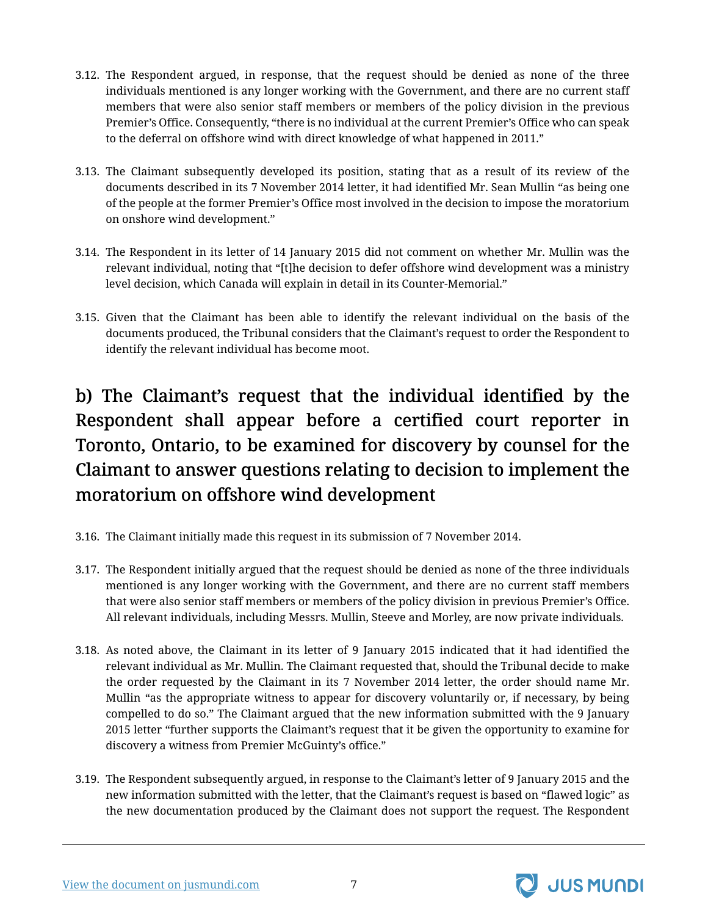- 3.12. The Respondent argued, in response, that the request should be denied as none of the three individuals mentioned is any longer working with the Government, and there are no current staff members that were also senior staff members or members of the policy division in the previous Premier's Office. Consequently, "there is no individual at the current Premier's Office who can speak to the deferral on offshore wind with direct knowledge of what happened in 2011."
- 3.13. The Claimant subsequently developed its position, stating that as a result of its review of the documents described in its 7 November 2014 letter, it had identified Mr. Sean Mullin "as being one of the people at the former Premier's Office most involved in the decision to impose the moratorium on onshore wind development."
- 3.14. The Respondent in its letter of 14 January 2015 did not comment on whether Mr. Mullin was the relevant individual, noting that "[t]he decision to defer offshore wind development was a ministry level decision, which Canada will explain in detail in its Counter-Memorial."
- 3.15. Given that the Claimant has been able to identify the relevant individual on the basis of the documents produced, the Tribunal considers that the Claimant's request to order the Respondent to identify the relevant individual has become moot.

## <span id="page-8-0"></span>b) The Claimant's request that the individual identified by the Respondent shall appear before a certified court reporter in Toronto, Ontario, to be examined for discovery by counsel for the Claimant to answer questions relating to decision to implement the moratorium on offshore wind development

- 3.16. The Claimant initially made this request in its submission of 7 November 2014.
- 3.17. The Respondent initially argued that the request should be denied as none of the three individuals mentioned is any longer working with the Government, and there are no current staff members that were also senior staff members or members of the policy division in previous Premier's Office. All relevant individuals, including Messrs. Mullin, Steeve and Morley, are now private individuals.
- 3.18. As noted above, the Claimant in its letter of 9 January 2015 indicated that it had identified the relevant individual as Mr. Mullin. The Claimant requested that, should the Tribunal decide to make the order requested by the Claimant in its 7 November 2014 letter, the order should name Mr. Mullin "as the appropriate witness to appear for discovery voluntarily or, if necessary, by being compelled to do so." The Claimant argued that the new information submitted with the 9 January 2015 letter "further supports the Claimant's request that it be given the opportunity to examine for discovery a witness from Premier McGuinty's office."
- 3.19. The Respondent subsequently argued, in response to the Claimant's letter of 9 January 2015 and the new information submitted with the letter, that the Claimant's request is based on "flawed logic" as the new documentation produced by the Claimant does not support the request. The Respondent

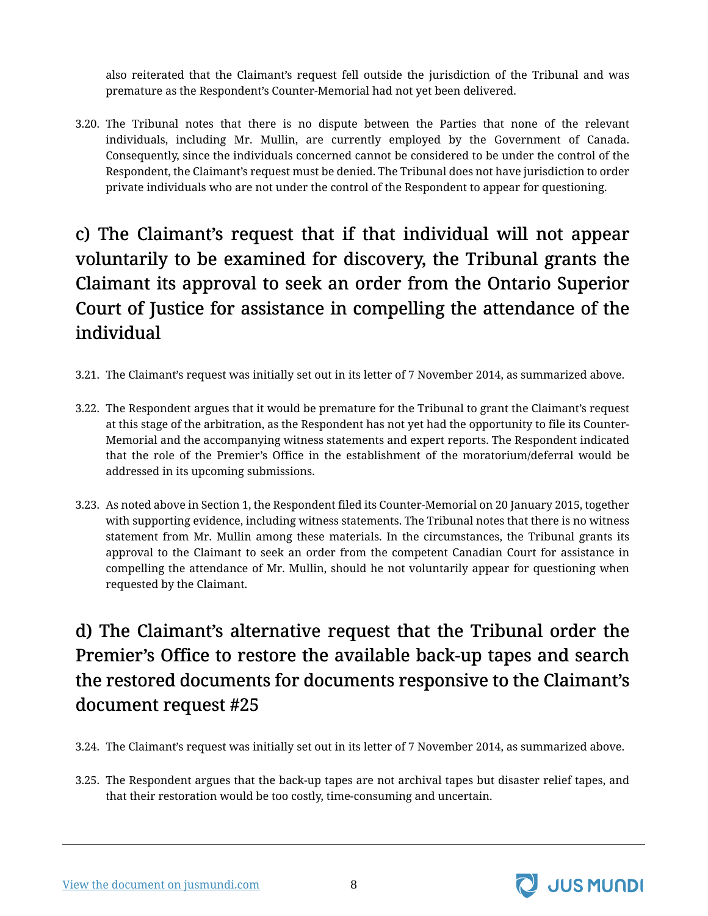also reiterated that the Claimant's request fell outside the jurisdiction of the Tribunal and was premature as the Respondent's Counter-Memorial had not yet been delivered.

3.20. The Tribunal notes that there is no dispute between the Parties that none of the relevant individuals, including Mr. Mullin, are currently employed by the Government of Canada. Consequently, since the individuals concerned cannot be considered to be under the control of the Respondent, the Claimant's request must be denied. The Tribunal does not have jurisdiction to order private individuals who are not under the control of the Respondent to appear for questioning.

## <span id="page-9-0"></span>c) The Claimant's request that if that individual will not appear voluntarily to be examined for discovery, the Tribunal grants the Claimant its approval to seek an order from the Ontario Superior Court of Justice for assistance in compelling the attendance of the individual

- 3.21. The Claimant's request was initially set out in its letter of 7 November 2014, as summarized above.
- 3.22. The Respondent argues that it would be premature for the Tribunal to grant the Claimant's request at this stage of the arbitration, as the Respondent has not yet had the opportunity to file its Counter-Memorial and the accompanying witness statements and expert reports. The Respondent indicated that the role of the Premier's Office in the establishment of the moratorium/deferral would be addressed in its upcoming submissions.
- 3.23. As noted above in Section 1, the Respondent filed its Counter-Memorial on 20 January 2015, together with supporting evidence, including witness statements. The Tribunal notes that there is no witness statement from Mr. Mullin among these materials. In the circumstances, the Tribunal grants its approval to the Claimant to seek an order from the competent Canadian Court for assistance in compelling the attendance of Mr. Mullin, should he not voluntarily appear for questioning when requested by the Claimant.

## <span id="page-9-1"></span>d) The Claimant's alternative request that the Tribunal order the Premier's Office to restore the available back-up tapes and search the restored documents for documents responsive to the Claimant's document request #25

- 3.24. The Claimant's request was initially set out in its letter of 7 November 2014, as summarized above.
- 3.25. The Respondent argues that the back-up tapes are not archival tapes but disaster relief tapes, and that their restoration would be too costly, time-consuming and uncertain.

[View the document on jusmundi.com](https://jusmundi.com/en/document/other/en-windstream-energy-llc-v-the-government-of-canada-procedural-order-no-3-wednesday-21st-january-2015) 8

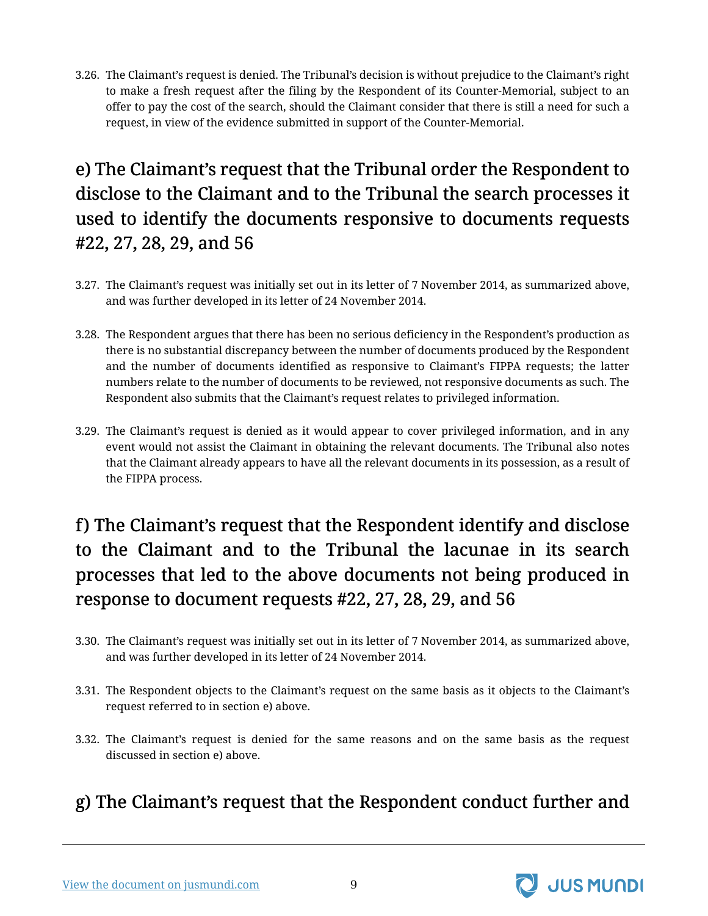3.26. The Claimant's request is denied. The Tribunal's decision is without prejudice to the Claimant's right to make a fresh request after the filing by the Respondent of its Counter-Memorial, subject to an offer to pay the cost of the search, should the Claimant consider that there is still a need for such a request, in view of the evidence submitted in support of the Counter-Memorial.

## <span id="page-10-0"></span>e) The Claimant's request that the Tribunal order the Respondent to disclose to the Claimant and to the Tribunal the search processes it used to identify the documents responsive to documents requests #22, 27, 28, 29, and 56

- 3.27. The Claimant's request was initially set out in its letter of 7 November 2014, as summarized above, and was further developed in its letter of 24 November 2014.
- 3.28. The Respondent argues that there has been no serious deficiency in the Respondent's production as there is no substantial discrepancy between the number of documents produced by the Respondent and the number of documents identified as responsive to Claimant's FIPPA requests; the latter numbers relate to the number of documents to be reviewed, not responsive documents as such. The Respondent also submits that the Claimant's request relates to privileged information.
- 3.29. The Claimant's request is denied as it would appear to cover privileged information, and in any event would not assist the Claimant in obtaining the relevant documents. The Tribunal also notes that the Claimant already appears to have all the relevant documents in its possession, as a result of the FIPPA process.

## <span id="page-10-1"></span>f) The Claimant's request that the Respondent identify and disclose to the Claimant and to the Tribunal the lacunae in its search processes that led to the above documents not being produced in response to document requests #22, 27, 28, 29, and 56

- 3.30. The Claimant's request was initially set out in its letter of 7 November 2014, as summarized above, and was further developed in its letter of 24 November 2014.
- 3.31. The Respondent objects to the Claimant's request on the same basis as it objects to the Claimant's request referred to in section e) above.
- 3.32. The Claimant's request is denied for the same reasons and on the same basis as the request discussed in section e) above.

### <span id="page-10-2"></span>g) The Claimant's request that the Respondent conduct further and

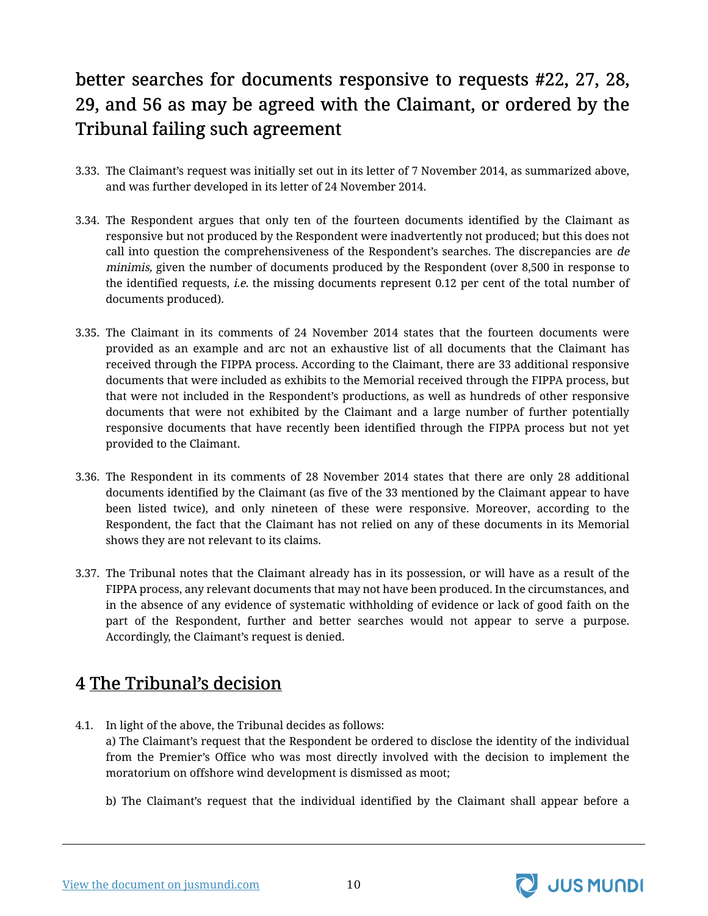## better searches for documents responsive to requests #22, 27, 28, 29, and 56 as may be agreed with the Claimant, or ordered by the Tribunal failing such agreement

- 3.33. The Claimant's request was initially set out in its letter of 7 November 2014, as summarized above, and was further developed in its letter of 24 November 2014.
- 3.34. The Respondent argues that only ten of the fourteen documents identified by the Claimant as responsive but not produced by the Respondent were inadvertently not produced; but this does not call into question the comprehensiveness of the Respondent's searches. The discrepancies are de minimis, given the number of documents produced by the Respondent (over 8,500 in response to the identified requests, i.e. the missing documents represent 0.12 per cent of the total number of documents produced).
- 3.35. The Claimant in its comments of 24 November 2014 states that the fourteen documents were provided as an example and arc not an exhaustive list of all documents that the Claimant has received through the FIPPA process. According to the Claimant, there are 33 additional responsive documents that were included as exhibits to the Memorial received through the FIPPA process, but that were not included in the Respondent's productions, as well as hundreds of other responsive documents that were not exhibited by the Claimant and a large number of further potentially responsive documents that have recently been identified through the FIPPA process but not yet provided to the Claimant.
- 3.36. The Respondent in its comments of 28 November 2014 states that there are only 28 additional documents identified by the Claimant (as five of the 33 mentioned by the Claimant appear to have been listed twice), and only nineteen of these were responsive. Moreover, according to the Respondent, the fact that the Claimant has not relied on any of these documents in its Memorial shows they are not relevant to its claims.
- 3.37. The Tribunal notes that the Claimant already has in its possession, or will have as a result of the FIPPA process, any relevant documents that may not have been produced. In the circumstances, and in the absence of any evidence of systematic withholding of evidence or lack of good faith on the part of the Respondent, further and better searches would not appear to serve a purpose. Accordingly, the Claimant's request is denied.

### <span id="page-11-0"></span>4 The Tribunal's decision

- 4.1. In light of the above, the Tribunal decides as follows: a) The Claimant's request that the Respondent be ordered to disclose the identity of the individual from the Premier's Office who was most directly involved with the decision to implement the moratorium on offshore wind development is dismissed as moot;
	- b) The Claimant's request that the individual identified by the Claimant shall appear before a

[View the document on jusmundi.com](https://jusmundi.com/en/document/other/en-windstream-energy-llc-v-the-government-of-canada-procedural-order-no-3-wednesday-21st-january-2015) 10